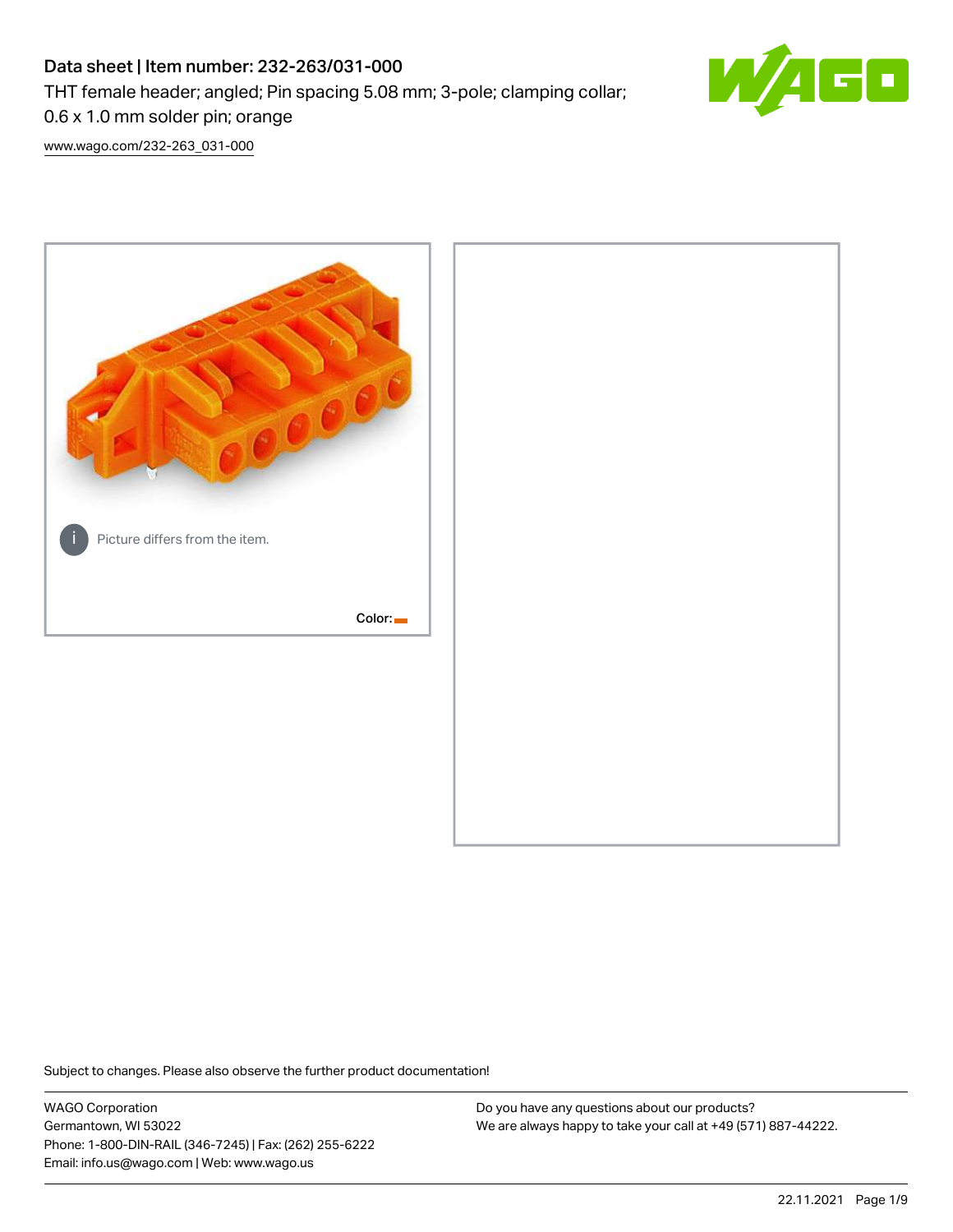# Data sheet | Item number: 232-263/031-000

THT female header; angled; Pin spacing 5.08 mm; 3-pole; clamping collar;



50

0.6 x 1.0 mm solder pin; orange

[www.wago.com/232-263\\_031-000](http://www.wago.com/232-263_031-000)



Subject to changes. Please also observe the further product documentation!

WAGO Corporation Germantown, WI 53022 Phone: 1-800-DIN-RAIL (346-7245) | Fax: (262) 255-6222 Email: info.us@wago.com | Web: www.wago.us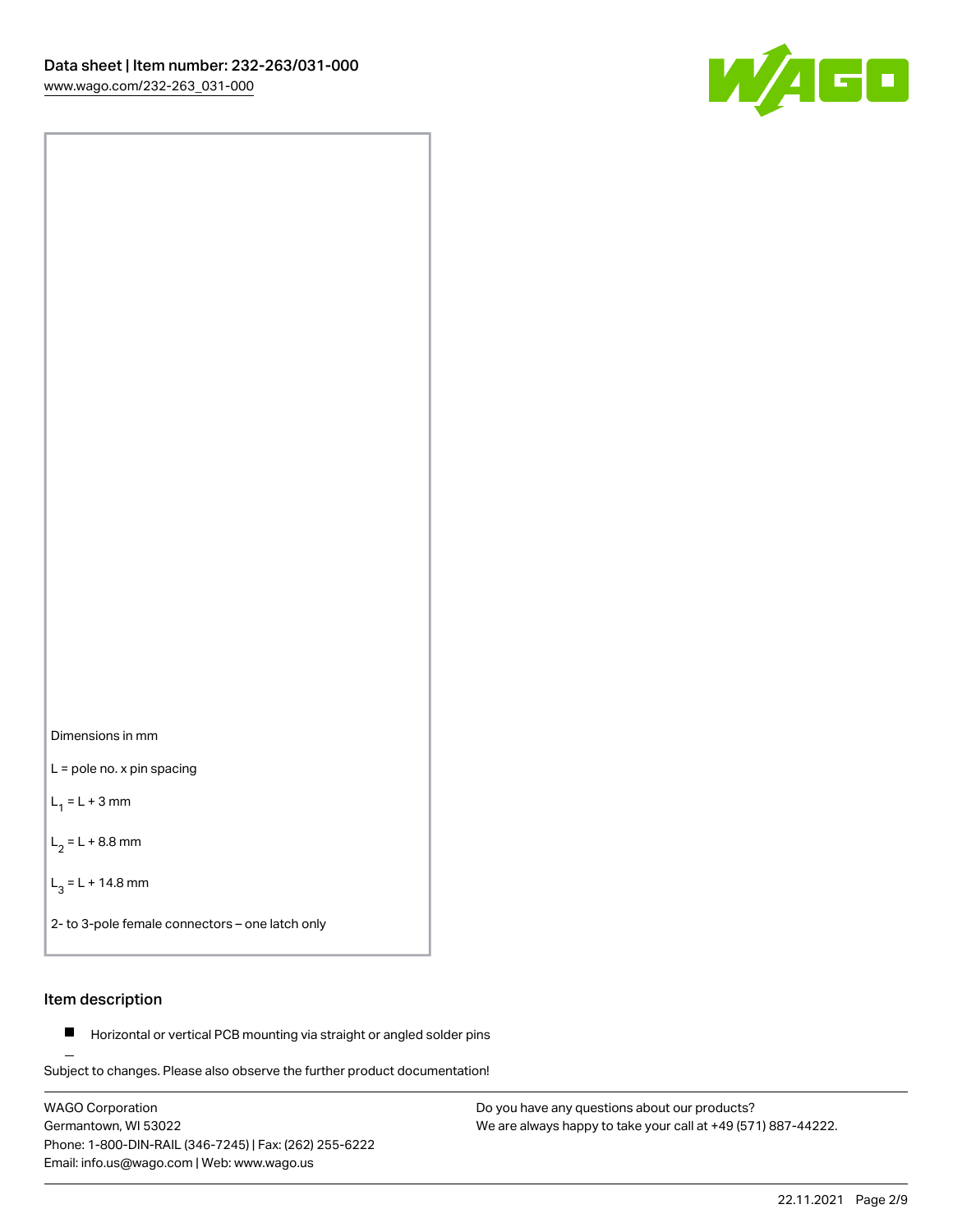



L = pole no. x pin spacing

 $L_1 = L + 3$  mm

 $L_2 = L + 8.8$  mm

 $L_3 = L + 14.8$  mm

2- to 3-pole female connectors – one latch only

### Item description

**Horizontal or vertical PCB mounting via straight or angled solder pins** 

Subject to changes. Please also observe the further product documentation! For board-to-board and board-to-wire connections

WAGO Corporation Germantown, WI 53022 Phone: 1-800-DIN-RAIL (346-7245) | Fax: (262) 255-6222 Email: info.us@wago.com | Web: www.wago.us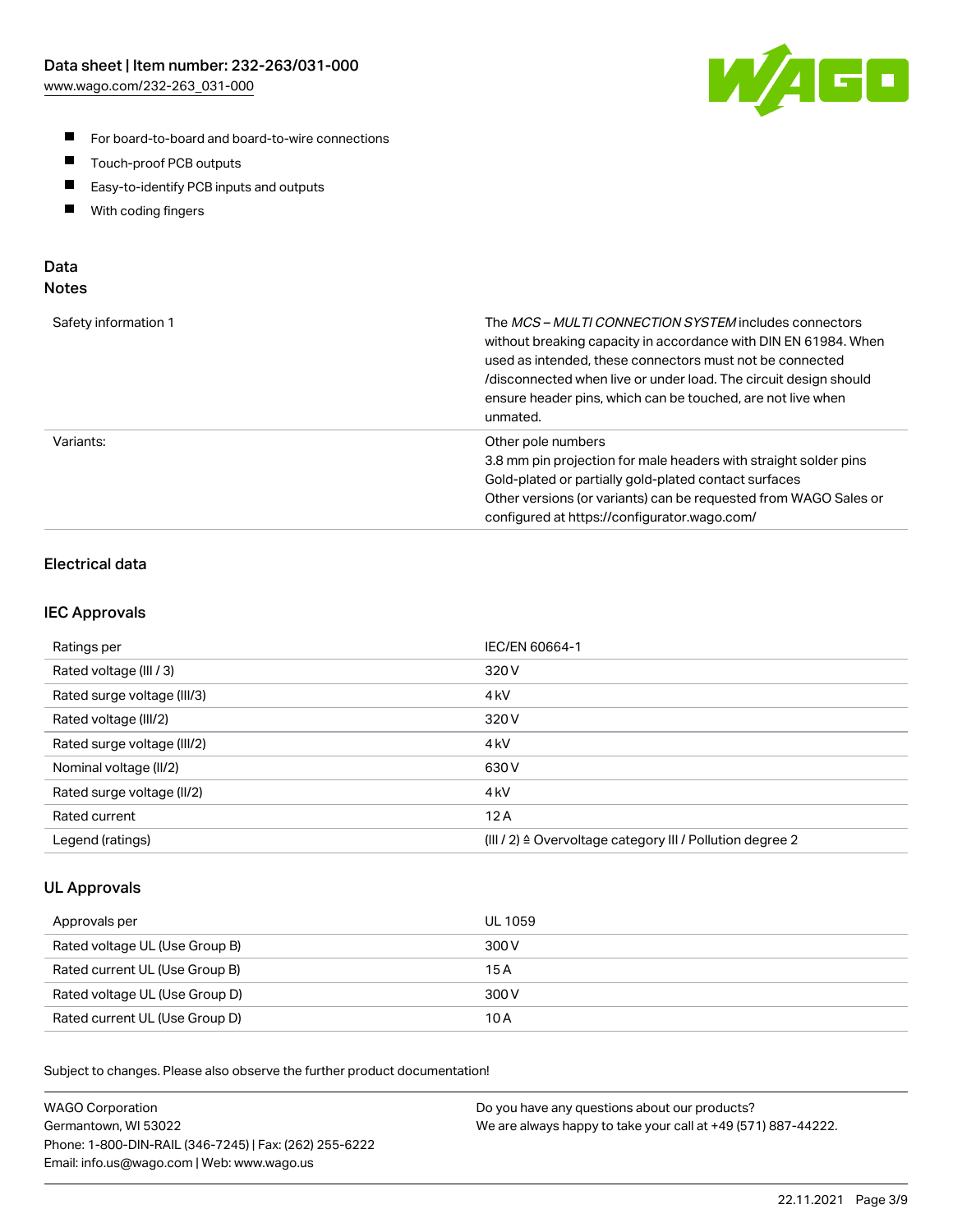

- For board-to-board and board-to-wire connections
- $\blacksquare$ Touch-proof PCB outputs
- $\blacksquare$ Easy-to-identify PCB inputs and outputs
- $\blacksquare$ With coding fingers

### Data **Notes**

| Safety information 1 | The <i>MCS – MULTI CONNECTION SYSTEM</i> includes connectors<br>without breaking capacity in accordance with DIN EN 61984. When<br>used as intended, these connectors must not be connected<br>/disconnected when live or under load. The circuit design should<br>ensure header pins, which can be touched, are not live when<br>unmated. |
|----------------------|--------------------------------------------------------------------------------------------------------------------------------------------------------------------------------------------------------------------------------------------------------------------------------------------------------------------------------------------|
| Variants:            | Other pole numbers<br>3.8 mm pin projection for male headers with straight solder pins<br>Gold-plated or partially gold-plated contact surfaces<br>Other versions (or variants) can be requested from WAGO Sales or<br>configured at https://configurator.wago.com/                                                                        |

### Electrical data

#### IEC Approvals

| Ratings per                 | IEC/EN 60664-1                                                        |
|-----------------------------|-----------------------------------------------------------------------|
| Rated voltage (III / 3)     | 320 V                                                                 |
| Rated surge voltage (III/3) | 4 <sub>k</sub> V                                                      |
| Rated voltage (III/2)       | 320 V                                                                 |
| Rated surge voltage (III/2) | 4 <sub>k</sub> V                                                      |
| Nominal voltage (II/2)      | 630 V                                                                 |
| Rated surge voltage (II/2)  | 4 <sub>k</sub> V                                                      |
| Rated current               | 12A                                                                   |
| Legend (ratings)            | $(III / 2)$ $\triangle$ Overvoltage category III / Pollution degree 2 |

#### UL Approvals

| Approvals per                  | UL 1059 |
|--------------------------------|---------|
| Rated voltage UL (Use Group B) | 300 V   |
| Rated current UL (Use Group B) | 15 A    |
| Rated voltage UL (Use Group D) | 300 V   |
| Rated current UL (Use Group D) | 10 A    |

| <b>WAGO Corporation</b>                                | Do you have any questions about our products?                 |
|--------------------------------------------------------|---------------------------------------------------------------|
| Germantown, WI 53022                                   | We are always happy to take your call at +49 (571) 887-44222. |
| Phone: 1-800-DIN-RAIL (346-7245)   Fax: (262) 255-6222 |                                                               |
| Email: info.us@wago.com   Web: www.wago.us             |                                                               |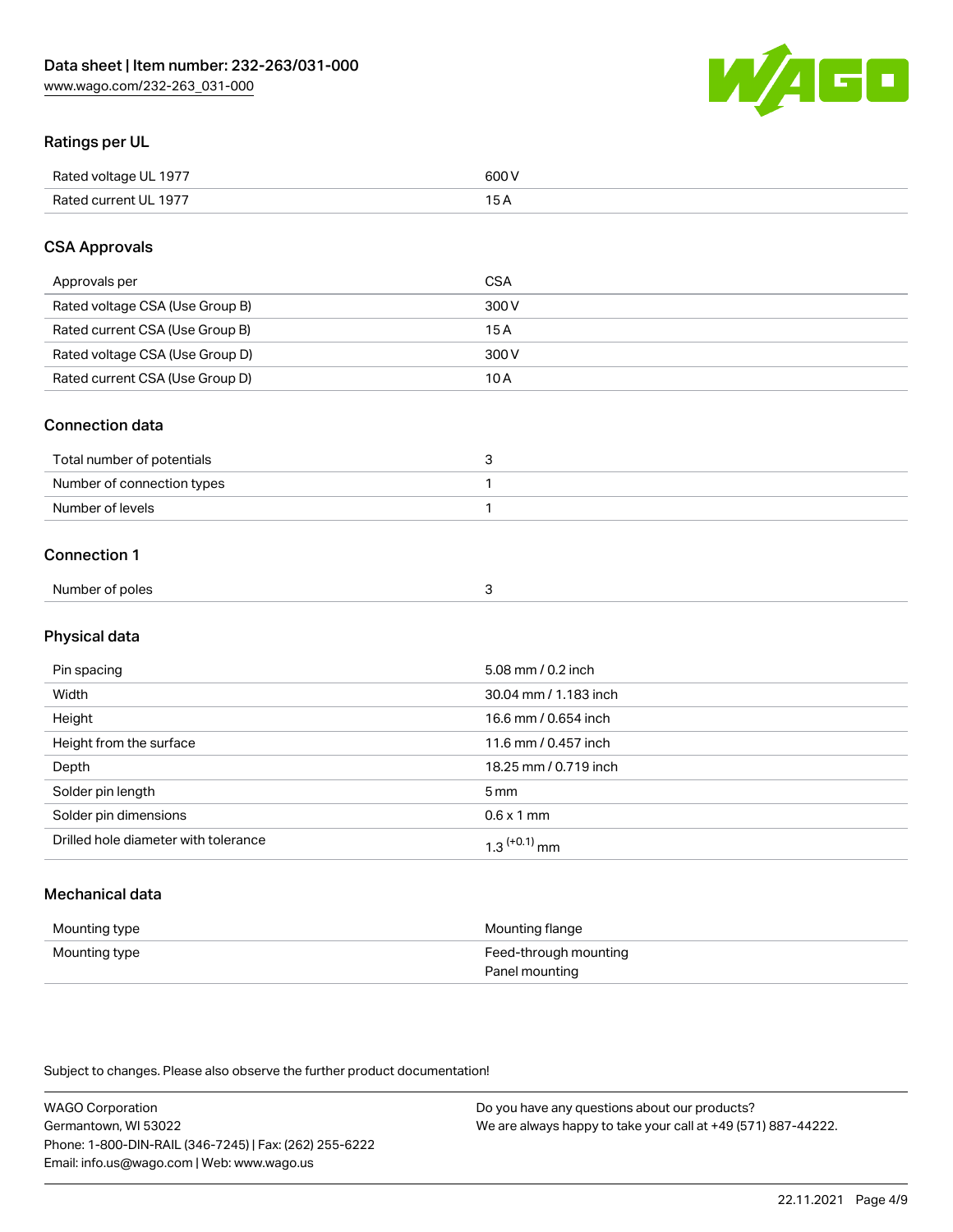

### Ratings per UL

| Rated voltage UL 1977 | 600 \<br>.   |
|-----------------------|--------------|
| Rated current UL 1977 | . . <i>.</i> |

### CSA Approvals

| Approvals per                   | CSA   |
|---------------------------------|-------|
| Rated voltage CSA (Use Group B) | 300 V |
| Rated current CSA (Use Group B) | 15 A  |
| Rated voltage CSA (Use Group D) | 300 V |
| Rated current CSA (Use Group D) | 10 A  |

#### Connection data

| Total number of potentials |  |
|----------------------------|--|
| Number of connection types |  |
| Number of levels           |  |

#### Connection 1

| Number of poles |  |
|-----------------|--|

## Physical data

| Pin spacing                          | 5.08 mm / 0.2 inch    |
|--------------------------------------|-----------------------|
| Width                                | 30.04 mm / 1.183 inch |
| Height                               | 16.6 mm / 0.654 inch  |
| Height from the surface              | 11.6 mm / 0.457 inch  |
| Depth                                | 18.25 mm / 0.719 inch |
| Solder pin length                    | 5 <sub>mm</sub>       |
| Solder pin dimensions                | $0.6 \times 1$ mm     |
| Drilled hole diameter with tolerance | $1.3$ $(+0.1)$ mm     |

## Mechanical data

| Mounting type | Mounting flange                         |
|---------------|-----------------------------------------|
| Mounting type | Feed-through mounting<br>Panel mounting |

| <b>WAGO Corporation</b>                                | Do you have any questions about our products?                 |
|--------------------------------------------------------|---------------------------------------------------------------|
| Germantown, WI 53022                                   | We are always happy to take your call at +49 (571) 887-44222. |
| Phone: 1-800-DIN-RAIL (346-7245)   Fax: (262) 255-6222 |                                                               |
| Email: info.us@wago.com   Web: www.wago.us             |                                                               |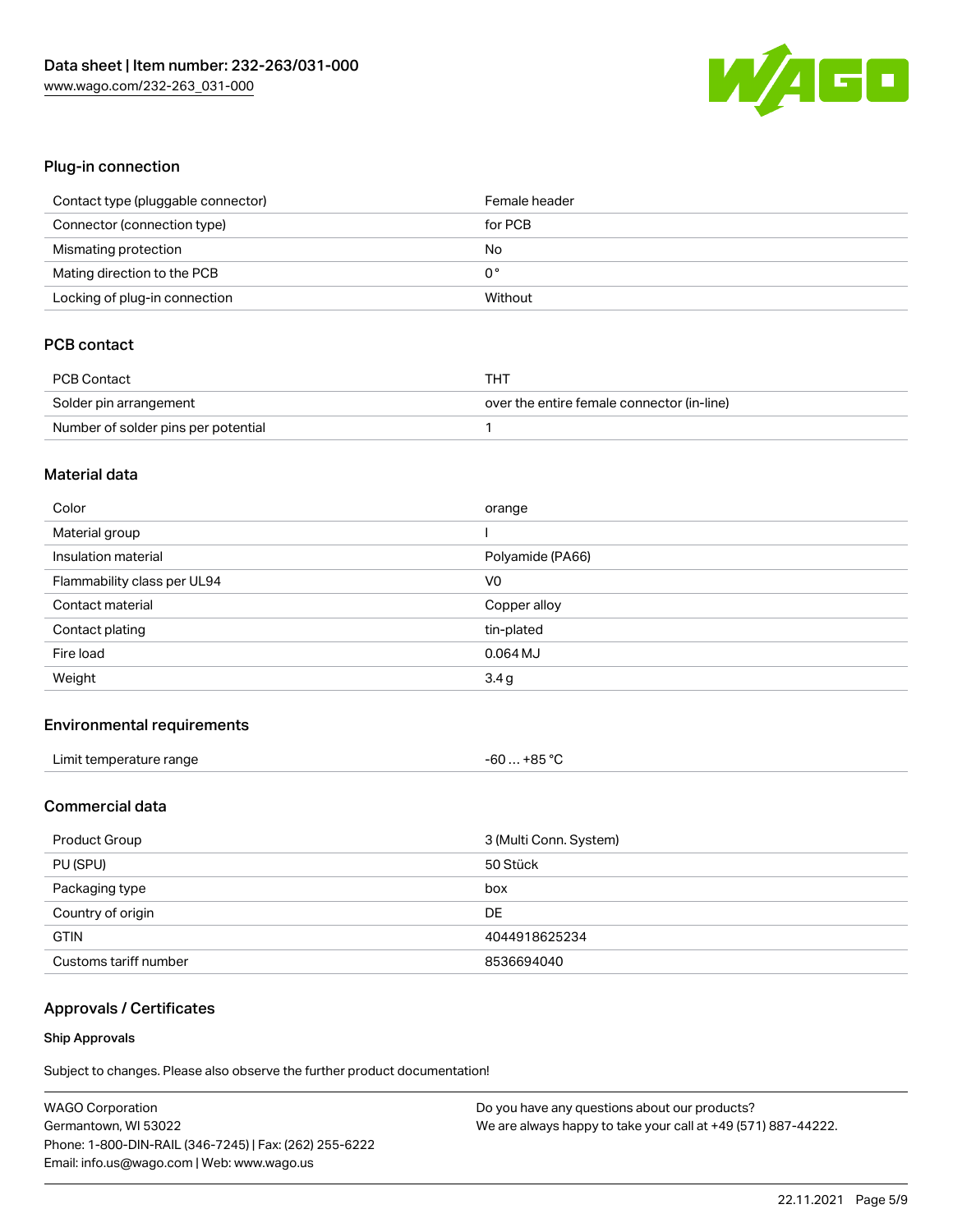

### Plug-in connection

| Contact type (pluggable connector) | Female header |
|------------------------------------|---------------|
| Connector (connection type)        | for PCB       |
| Mismating protection               | No            |
| Mating direction to the PCB        | 0°            |
| Locking of plug-in connection      | Without       |

### PCB contact

| <b>PCB Contact</b>                  | THT                                        |
|-------------------------------------|--------------------------------------------|
| Solder pin arrangement              | over the entire female connector (in-line) |
| Number of solder pins per potential |                                            |

#### Material data

| Color                       | orange           |
|-----------------------------|------------------|
| Material group              |                  |
| Insulation material         | Polyamide (PA66) |
| Flammability class per UL94 | V0               |
|                             |                  |
| Contact material            | Copper alloy     |
| Contact plating             | tin-plated       |
| Fire load                   | $0.064$ MJ       |

#### Environmental requirements

| Limit temperature range | +85 °C<br>-60 |
|-------------------------|---------------|
|-------------------------|---------------|

### Commercial data

| Product Group         | 3 (Multi Conn. System) |
|-----------------------|------------------------|
| PU (SPU)              | 50 Stück               |
| Packaging type        | box                    |
| Country of origin     | DE                     |
| <b>GTIN</b>           | 4044918625234          |
| Customs tariff number | 8536694040             |

## Approvals / Certificates

#### Ship Approvals

| <b>WAGO Corporation</b>                                | Do you have any questions about our products?                 |
|--------------------------------------------------------|---------------------------------------------------------------|
| Germantown, WI 53022                                   | We are always happy to take your call at +49 (571) 887-44222. |
| Phone: 1-800-DIN-RAIL (346-7245)   Fax: (262) 255-6222 |                                                               |
| Email: info.us@wago.com   Web: www.wago.us             |                                                               |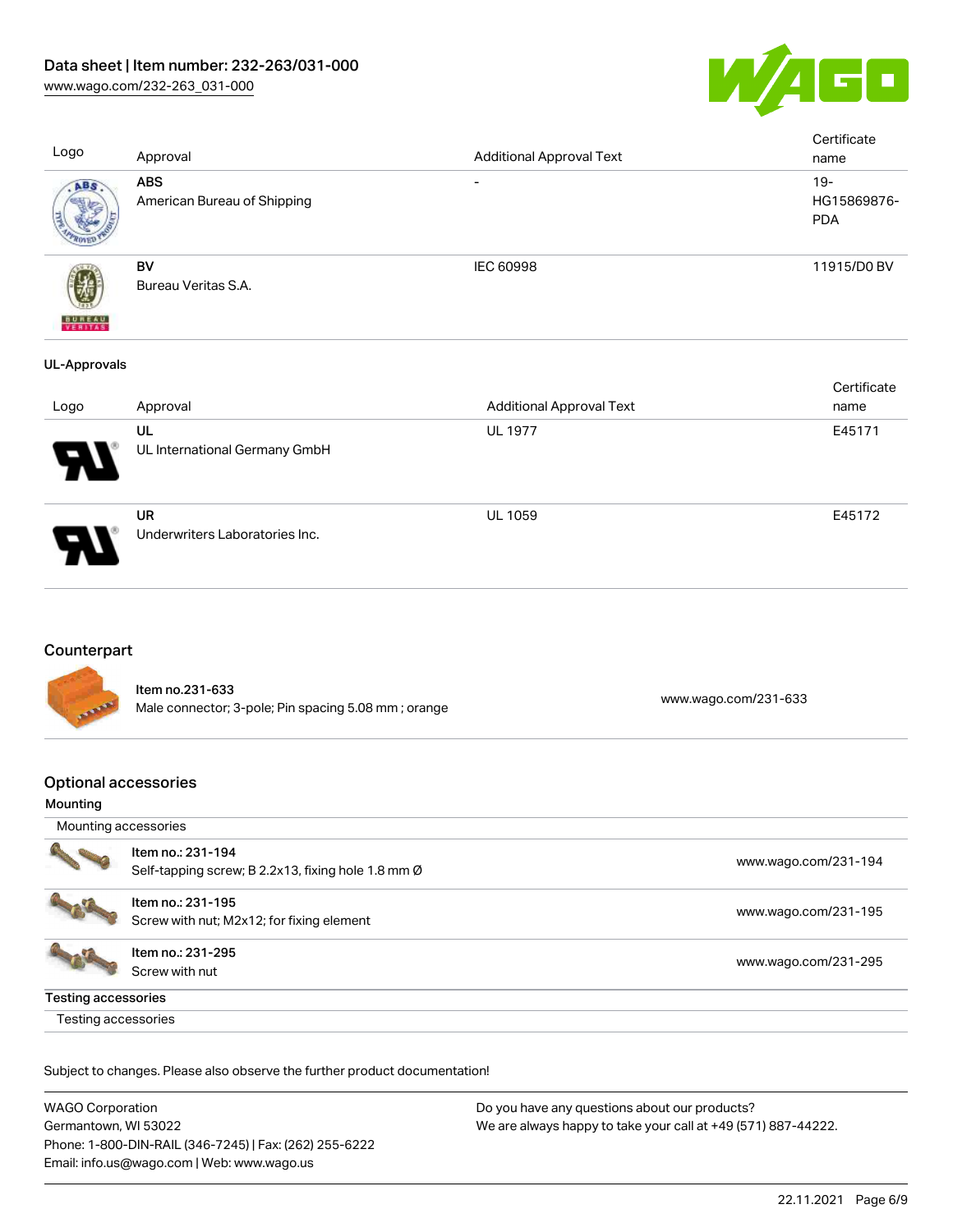

| Logo                | Approval                                  | <b>Additional Approval Text</b> | Certificate<br>name                 |
|---------------------|-------------------------------------------|---------------------------------|-------------------------------------|
| ABS.                | <b>ABS</b><br>American Bureau of Shipping | $\overline{\phantom{0}}$        | $19 -$<br>HG15869876-<br><b>PDA</b> |
| <b>BUREAU</b>       | <b>BV</b><br>Bureau Veritas S.A.          | <b>IEC 60998</b>                | 11915/D0 BV                         |
| <b>UL-Approvals</b> |                                           |                                 |                                     |

| Logo                       | Approval                                    | <b>Additional Approval Text</b> | Certificate<br>name |
|----------------------------|---------------------------------------------|---------------------------------|---------------------|
| $\boldsymbol{\mathcal{P}}$ | UL<br>UL International Germany GmbH         | <b>UL 1977</b>                  | E45171              |
|                            | <b>UR</b><br>Underwriters Laboratories Inc. | <b>UL 1059</b>                  | E45172              |

## **Counterpart**

Item no.231-633 nem 10.251-000<br>
Male connector; 3-pole; Pin spacing 5.08 mm ; orange [www.wago.com/231-633](https://www.wago.com/231-633)

### Optional accessories

#### Mounting

|                     | Item no.: 231-194<br>Self-tapping screw; B 2.2x13, fixing hole 1.8 mm Ø | www.wago.com/231-194 |
|---------------------|-------------------------------------------------------------------------|----------------------|
|                     | Item no.: 231-195<br>Screw with nut; M2x12; for fixing element          | www.wago.com/231-195 |
|                     | Item no.: 231-295<br>Screw with nut                                     | www.wago.com/231-295 |
| Testing accessories |                                                                         |                      |
| Testing accessories |                                                                         |                      |

| <b>WAGO Corporation</b>                                | Do you have any questions about our products?                 |
|--------------------------------------------------------|---------------------------------------------------------------|
| Germantown, WI 53022                                   | We are always happy to take your call at +49 (571) 887-44222. |
| Phone: 1-800-DIN-RAIL (346-7245)   Fax: (262) 255-6222 |                                                               |
| Email: info.us@wago.com   Web: www.wago.us             |                                                               |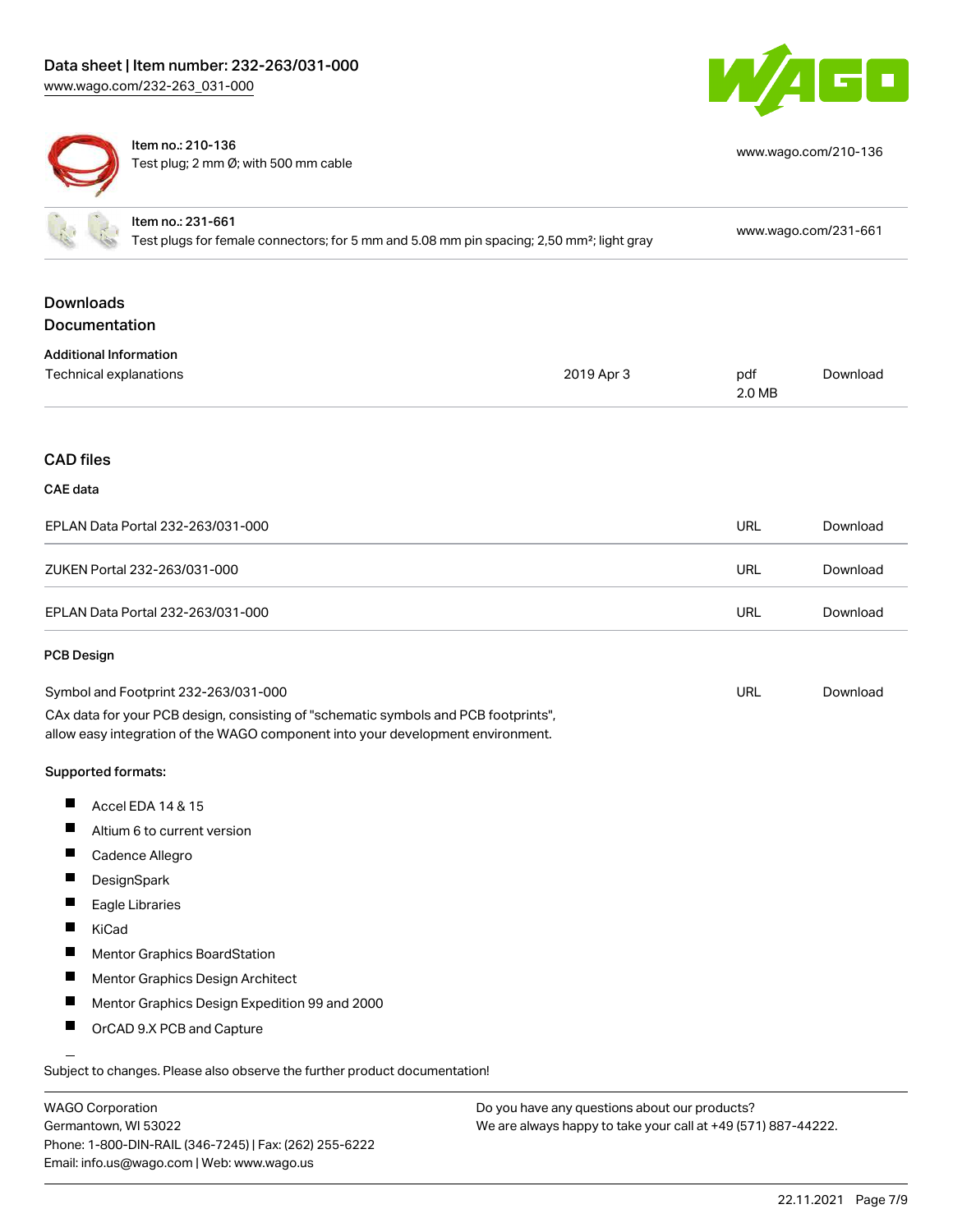

[www.wago.com/210-136](http://www.wago.com/210-136)



Item no.: 210-136 Test plug; 2 mm Ø; with 500 mm cable

| Item no.: 231-661<br>Test plugs for female connectors; for 5 mm and 5.08 mm pin spacing; 2,50 mm <sup>2</sup> ; light gray                                             |            |               | www.wago.com/231-661 |
|------------------------------------------------------------------------------------------------------------------------------------------------------------------------|------------|---------------|----------------------|
| <b>Downloads</b>                                                                                                                                                       |            |               |                      |
| Documentation                                                                                                                                                          |            |               |                      |
| <b>Additional Information</b>                                                                                                                                          |            |               |                      |
| Technical explanations                                                                                                                                                 | 2019 Apr 3 | pdf<br>2.0 MB | Download             |
|                                                                                                                                                                        |            |               |                      |
| <b>CAD files</b>                                                                                                                                                       |            |               |                      |
| <b>CAE</b> data                                                                                                                                                        |            |               |                      |
| EPLAN Data Portal 232-263/031-000                                                                                                                                      |            | <b>URL</b>    | Download             |
| ZUKEN Portal 232-263/031-000                                                                                                                                           |            | <b>URL</b>    | Download             |
| EPLAN Data Portal 232-263/031-000                                                                                                                                      |            | <b>URL</b>    | Download             |
| PCB Design                                                                                                                                                             |            |               |                      |
| Symbol and Footprint 232-263/031-000                                                                                                                                   |            | <b>URL</b>    | Download             |
| CAx data for your PCB design, consisting of "schematic symbols and PCB footprints",<br>allow easy integration of the WAGO component into your development environment. |            |               |                      |
| Supported formats:                                                                                                                                                     |            |               |                      |
| Ш<br>Accel EDA 14 & 15                                                                                                                                                 |            |               |                      |
| Altium 6 to current version                                                                                                                                            |            |               |                      |
| ш<br>Cadence Allegro                                                                                                                                                   |            |               |                      |
| H<br>DesignSpark                                                                                                                                                       |            |               |                      |
| Eagle Libraries                                                                                                                                                        |            |               |                      |
| KiCad                                                                                                                                                                  |            |               |                      |
| <b>Mentor Graphics BoardStation</b>                                                                                                                                    |            |               |                      |
| Mentor Graphics Design Architect                                                                                                                                       |            |               |                      |
| Mentor Graphics Design Expedition 99 and 2000<br>H                                                                                                                     |            |               |                      |
| OrCAD 9.X PCB and Capture<br>ц                                                                                                                                         |            |               |                      |

Subject to changes. Please also observe the further product documentation!

| <b>WAGO Corporation</b>                                |
|--------------------------------------------------------|
| Germantown, WI 53022                                   |
| Phone: 1-800-DIN-RAIL (346-7245)   Fax: (262) 255-6222 |
| Email: info.us@wago.com   Web: www.wago.us             |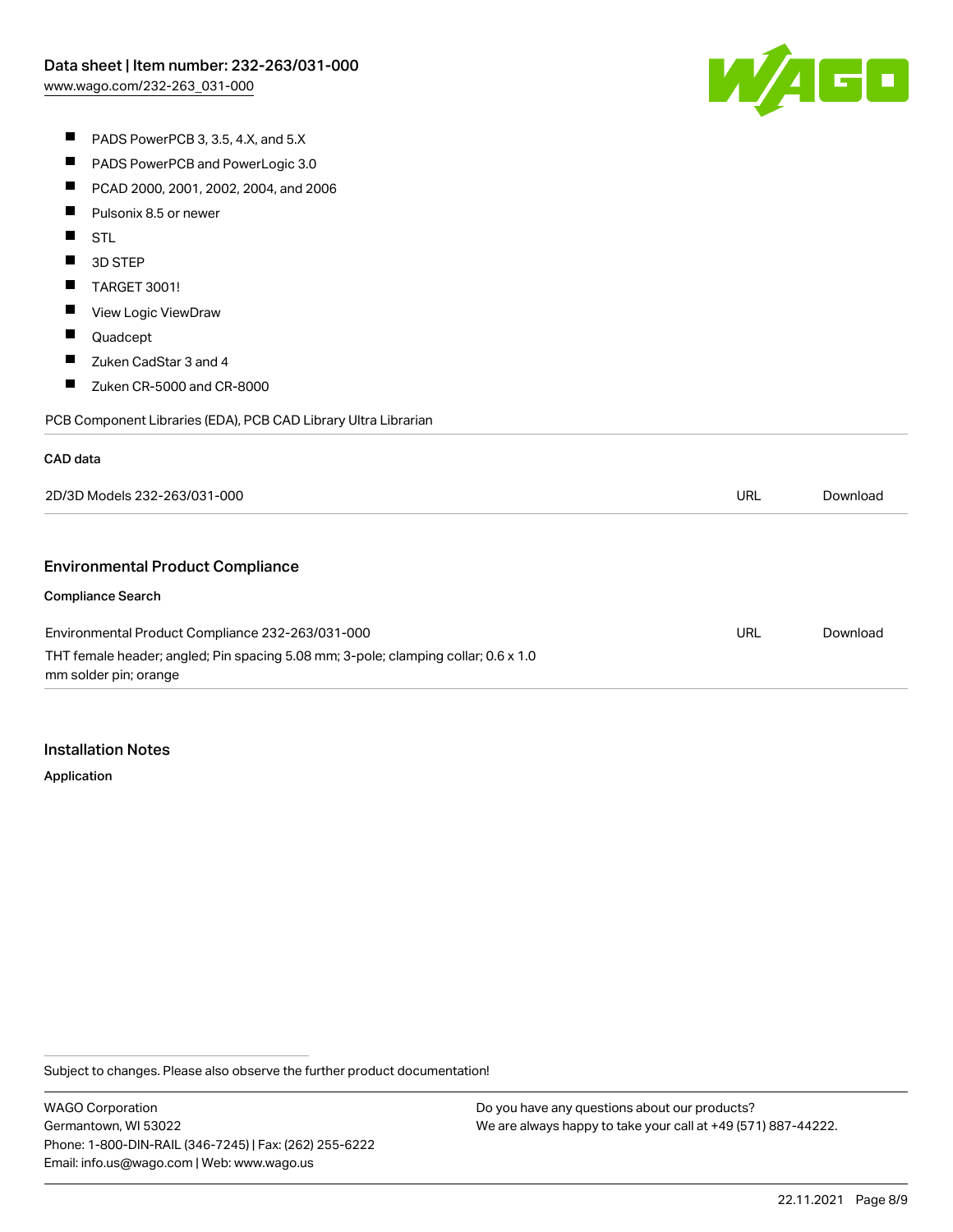PADS PowerPCB and PowerLogic 3.0

PADS PowerPCB 3, 3.5, 4.X, and 5.X

 $\blacksquare$ 

W/160

 $\blacksquare$ PCAD 2000, 2001, 2002, 2004, and 2006  $\blacksquare$ Pulsonix 8.5 or newer  $\blacksquare$ STL  $\blacksquare$ 3D STEP  $\blacksquare$ TARGET 3001!  $\blacksquare$ View Logic ViewDraw  $\blacksquare$ Quadcept  $\blacksquare$ Zuken CadStar 3 and 4  $\blacksquare$ Zuken CR-5000 and CR-8000 PCB Component Libraries (EDA), PCB CAD Library Ultra Librarian CAD data 2D/3D Models 232-263/031-000 URL [Download](https://www.wago.com/global/d/3D_URLS_232-263_031-000) Environmental Product Compliance Compliance Search URL [Download](https://www.wago.com/global/d/ComplianceLinkMediaContainer_232-263_031-000) Environmental Product Compliance 232-263/031-000 THT female header; angled; Pin spacing 5.08 mm; 3-pole; clamping collar; 0.6 x 1.0 mm solder pin; orange

Installation Notes

Application

Subject to changes. Please also observe the further product documentation!

WAGO Corporation Germantown, WI 53022 Phone: 1-800-DIN-RAIL (346-7245) | Fax: (262) 255-6222 Email: info.us@wago.com | Web: www.wago.us